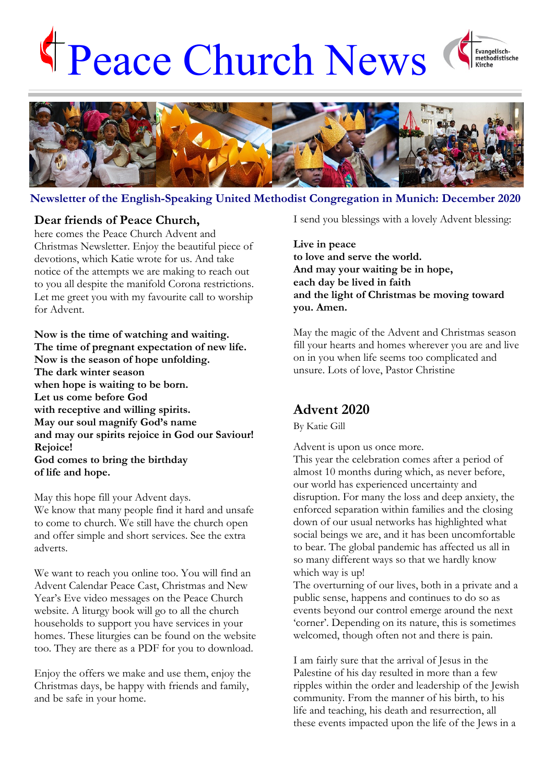# Peace Church News





**Newsletter of the English-Speaking United Methodist Congregation in Munich: December 2020**

## **Dear friends of Peace Church,**

here comes the Peace Church Advent and Christmas Newsletter. Enjoy the beautiful piece of devotions, which Katie wrote for us. And take notice of the attempts we are making to reach out to you all despite the manifold Corona restrictions. Let me greet you with my favourite call to worship for Advent.

**Now is the time of watching and waiting. The time of pregnant expectation of new life. Now is the season of hope unfolding. The dark winter season when hope is waiting to be born. Let us come before God with receptive and willing spirits. May our soul magnify God's name and may our spirits rejoice in God our Saviour! Rejoice! God comes to bring the birthday of life and hope.** 

May this hope fill your Advent days. We know that many people find it hard and unsafe to come to church. We still have the church open and offer simple and short services. See the extra adverts.

We want to reach you online too. You will find an Advent Calendar Peace Cast, Christmas and New Year's Eve video messages on the Peace Church website. A liturgy book will go to all the church households to support you have services in your homes. These liturgies can be found on the website too. They are there as a PDF for you to download.

Enjoy the offers we make and use them, enjoy the Christmas days, be happy with friends and family, and be safe in your home.

I send you blessings with a lovely Advent blessing:

**Live in peace to love and serve the world. And may your waiting be in hope, each day be lived in faith and the light of Christmas be moving toward you. Amen.**

May the magic of the Advent and Christmas season fill your hearts and homes wherever you are and live on in you when life seems too complicated and unsure. Lots of love, Pastor Christine

# **Advent 2020**

By Katie Gill

Advent is upon us once more.

This year the celebration comes after a period of almost 10 months during which, as never before, our world has experienced uncertainty and disruption. For many the loss and deep anxiety, the enforced separation within families and the closing down of our usual networks has highlighted what social beings we are, and it has been uncomfortable to bear. The global pandemic has affected us all in so many different ways so that we hardly know which way is up!

The overturning of our lives, both in a private and a public sense, happens and continues to do so as events beyond our control emerge around the next 'corner'. Depending on its nature, this is sometimes welcomed, though often not and there is pain.

I am fairly sure that the arrival of Jesus in the Palestine of his day resulted in more than a few ripples within the order and leadership of the Jewish community. From the manner of his birth, to his life and teaching, his death and resurrection, all these events impacted upon the life of the Jews in a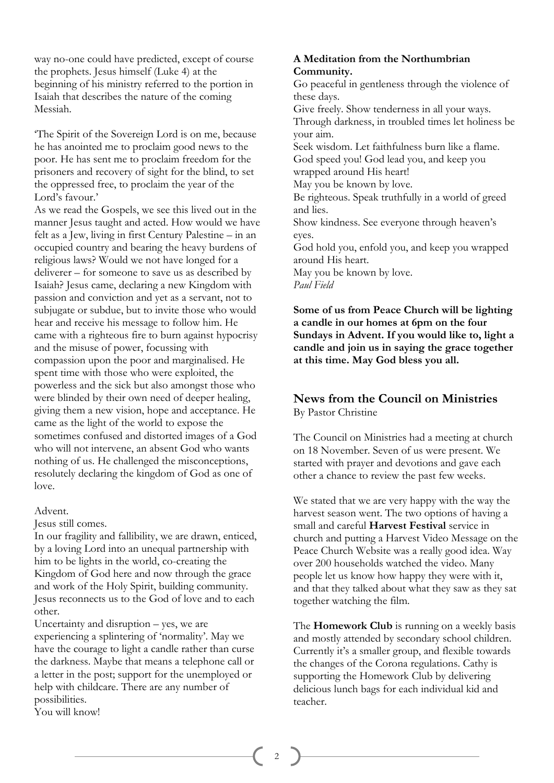way no-one could have predicted, except of course the prophets. Jesus himself (Luke 4) at the beginning of his ministry referred to the portion in Isaiah that describes the nature of the coming Messiah.

'The Spirit of the Sovereign Lord is on me, because he has anointed me to proclaim good news to the poor. He has sent me to proclaim freedom for the prisoners and recovery of sight for the blind, to set the oppressed free, to proclaim the year of the Lord's favour.'

As we read the Gospels, we see this lived out in the manner Jesus taught and acted. How would we have felt as a Jew, living in first Century Palestine – in an occupied country and bearing the heavy burdens of religious laws? Would we not have longed for a deliverer – for someone to save us as described by Isaiah? Jesus came, declaring a new Kingdom with passion and conviction and yet as a servant, not to subjugate or subdue, but to invite those who would hear and receive his message to follow him. He came with a righteous fire to burn against hypocrisy and the misuse of power, focussing with compassion upon the poor and marginalised. He spent time with those who were exploited, the powerless and the sick but also amongst those who were blinded by their own need of deeper healing, giving them a new vision, hope and acceptance. He came as the light of the world to expose the sometimes confused and distorted images of a God who will not intervene, an absent God who wants nothing of us. He challenged the misconceptions, resolutely declaring the kingdom of God as one of love.

### Advent.

Jesus still comes.

In our fragility and fallibility, we are drawn, enticed, by a loving Lord into an unequal partnership with him to be lights in the world, co-creating the Kingdom of God here and now through the grace and work of the Holy Spirit, building community. Jesus reconnects us to the God of love and to each other.

Uncertainty and disruption – yes, we are experiencing a splintering of 'normality'. May we have the courage to light a candle rather than curse the darkness. Maybe that means a telephone call or a letter in the post; support for the unemployed or help with childcare. There are any number of possibilities. You will know!

## **A Meditation from the Northumbrian Community.**

Go peaceful in gentleness through the violence of these days. Give freely. Show tenderness in all your ways. Through darkness, in troubled times let holiness be your aim. Seek wisdom. Let faithfulness burn like a flame. God speed you! God lead you, and keep you wrapped around His heart! May you be known by love. Be righteous. Speak truthfully in a world of greed and lies. Show kindness. See everyone through heaven's eyes. God hold you, enfold you, and keep you wrapped around His heart. May you be known by love. *Paul Field*

**Some of us from Peace Church will be lighting a candle in our homes at 6pm on the four Sundays in Advent. If you would like to, light a candle and join us in saying the grace together at this time. May God bless you all.**

## **News from the Council on Ministries** By Pastor Christine

The Council on Ministries had a meeting at church on 18 November. Seven of us were present. We started with prayer and devotions and gave each other a chance to review the past few weeks.

We stated that we are very happy with the way the harvest season went. The two options of having a small and careful **Harvest Festival** service in church and putting a Harvest Video Message on the Peace Church Website was a really good idea. Way over 200 households watched the video. Many people let us know how happy they were with it, and that they talked about what they saw as they sat together watching the film.

The **Homework Club** is running on a weekly basis and mostly attended by secondary school children. Currently it's a smaller group, and flexible towards the changes of the Corona regulations. Cathy is supporting the Homework Club by delivering delicious lunch bags for each individual kid and teacher.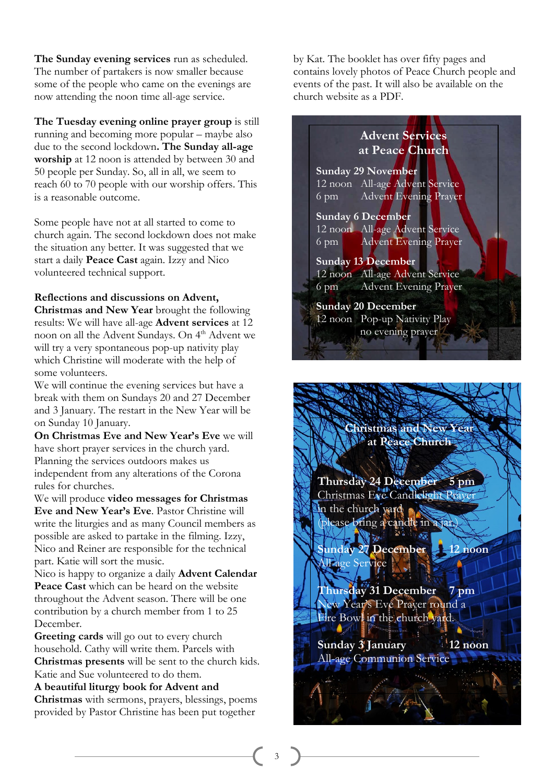**The Sunday evening services** run as scheduled. The number of partakers is now smaller because some of the people who came on the evenings are now attending the noon time all-age service.

**The Tuesday evening online prayer group** is still running and becoming more popular – maybe also due to the second lockdown**. The Sunday all-age worship** at 12 noon is attended by between 30 and 50 people per Sunday. So, all in all, we seem to reach 60 to 70 people with our worship offers. This is a reasonable outcome.

Some people have not at all started to come to church again. The second lockdown does not make the situation any better. It was suggested that we start a daily **Peace Cast** again. Izzy and Nico volunteered technical support.

### **Reflections and discussions on Advent,**

**Christmas and New Year** brought the following results: We will have all-age **Advent services** at 12 noon on all the Advent Sundays. On 4<sup>th</sup> Advent we will try a very spontaneous pop-up nativity play which Christine will moderate with the help of some volunteers.

We will continue the evening services but have a break with them on Sundays 20 and 27 December and 3 January. The restart in the New Year will be on Sunday 10 January.

**On Christmas Eve and New Year's Eve** we will have short prayer services in the church yard. Planning the services outdoors makes us independent from any alterations of the Corona rules for churches.

We will produce **video messages for Christmas Eve and New Year's Eve**. Pastor Christine will write the liturgies and as many Council members as possible are asked to partake in the filming. Izzy, Nico and Reiner are responsible for the technical part. Katie will sort the music.

Nico is happy to organize a daily **Advent Calendar Peace Cast** which can be heard on the website throughout the Advent season. There will be one contribution by a church member from 1 to 25 December.

**Greeting cards** will go out to every church household. Cathy will write them. Parcels with **Christmas presents** will be sent to the church kids. Katie and Sue volunteered to do them.

**A beautiful liturgy book for Advent and Christmas** with sermons, prayers, blessings, poems provided by Pastor Christine has been put together

by Kat. The booklet has over fifty pages and contains lovely photos of Peace Church people and events of the past. It will also be available on the church website as a PDF.

# **Advent Services at Peace Church Sunday 29 November** 12 noon All-age Advent Service 6 pm Advent Evening Prayer **Sunday 6 December** 12 noon All-age Advent Service 6 pm Advent Evening Prayer **Sunday 13 December** 12 noon All-age Advent Service 6 pm Advent Evening Prayer **Sunday 20 December** 12 noon Pop-up Nativity Play no evening prayer

**Christmas and New Year at Peace Church**

**Thursday 24 December 5 pm** Christmas Eve Candlelight Prayer in the church yard dease bring a candle in a jar.

Ww **Sunday 27 December 12 noon** All-age Service

**Thursday 31 December 7 pm**  New Year's Eve Prayer round a Fire Bowl in the church yard.

**Sunday 3 January 12 noon** All-age Communion Service